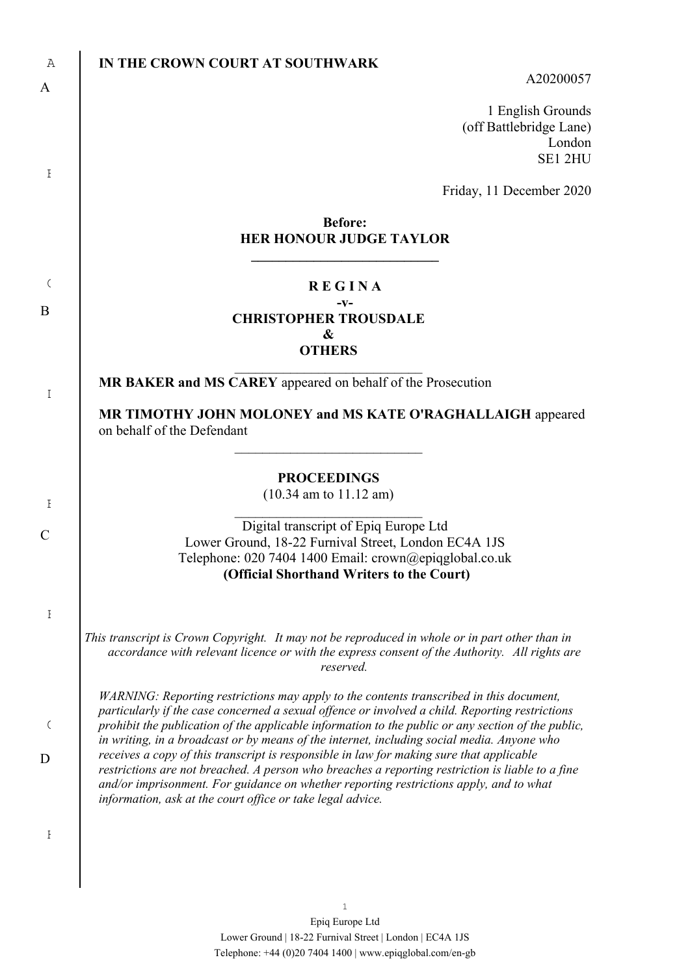| Α            | IN THE CROWN COURT AT SOUTHWARK<br>A20200057                                                                                                                                                                                                             |
|--------------|----------------------------------------------------------------------------------------------------------------------------------------------------------------------------------------------------------------------------------------------------------|
| A            | 1 English Grounds                                                                                                                                                                                                                                        |
|              | (off Battlebridge Lane)<br>London<br>SE1 2HU                                                                                                                                                                                                             |
| Ι            |                                                                                                                                                                                                                                                          |
|              | Friday, 11 December 2020                                                                                                                                                                                                                                 |
|              | <b>Before:</b><br><b>HER HONOUR JUDGE TAYLOR</b>                                                                                                                                                                                                         |
| $\zeta$      | <b>REGINA</b><br>-v-                                                                                                                                                                                                                                     |
| B            | <b>CHRISTOPHER TROUSDALE</b><br>&                                                                                                                                                                                                                        |
|              | <b>OTHERS</b>                                                                                                                                                                                                                                            |
| $\mathbf I$  | MR BAKER and MS CAREY appeared on behalf of the Prosecution                                                                                                                                                                                              |
|              | MR TIMOTHY JOHN MOLONEY and MS KATE O'RAGHALLAIGH appeared<br>on behalf of the Defendant                                                                                                                                                                 |
|              | <b>PROCEEDINGS</b>                                                                                                                                                                                                                                       |
| $\mathbf{F}$ | $(10.34$ am to $11.12$ am)                                                                                                                                                                                                                               |
| C            | Digital transcript of Epiq Europe Ltd                                                                                                                                                                                                                    |
|              | Lower Ground, 18-22 Furnival Street, London EC4A 1JS<br>Telephone: 020 7404 1400 Email: crown@epiqglobal.co.uk<br>(Official Shorthand Writers to the Court)                                                                                              |
| Ŧ            |                                                                                                                                                                                                                                                          |
|              | This transcript is Crown Copyright. It may not be reproduced in whole or in part other than in<br>accordance with relevant licence or with the express consent of the Authority. All rights are<br>reserved.                                             |
|              | WARNING: Reporting restrictions may apply to the contents transcribed in this document,                                                                                                                                                                  |
| $\zeta$      | particularly if the case concerned a sexual offence or involved a child. Reporting restrictions<br>prohibit the publication of the applicable information to the public or any section of the public,                                                    |
| D            | in writing, in a broadcast or by means of the internet, including social media. Anyone who<br>receives a copy of this transcript is responsible in law for making sure that applicable                                                                   |
|              | restrictions are not breached. A person who breaches a reporting restriction is liable to a fine<br>and/or imprisonment. For guidance on whether reporting restrictions apply, and to what<br>information, ask at the court office or take legal advice. |
| Ŧ            |                                                                                                                                                                                                                                                          |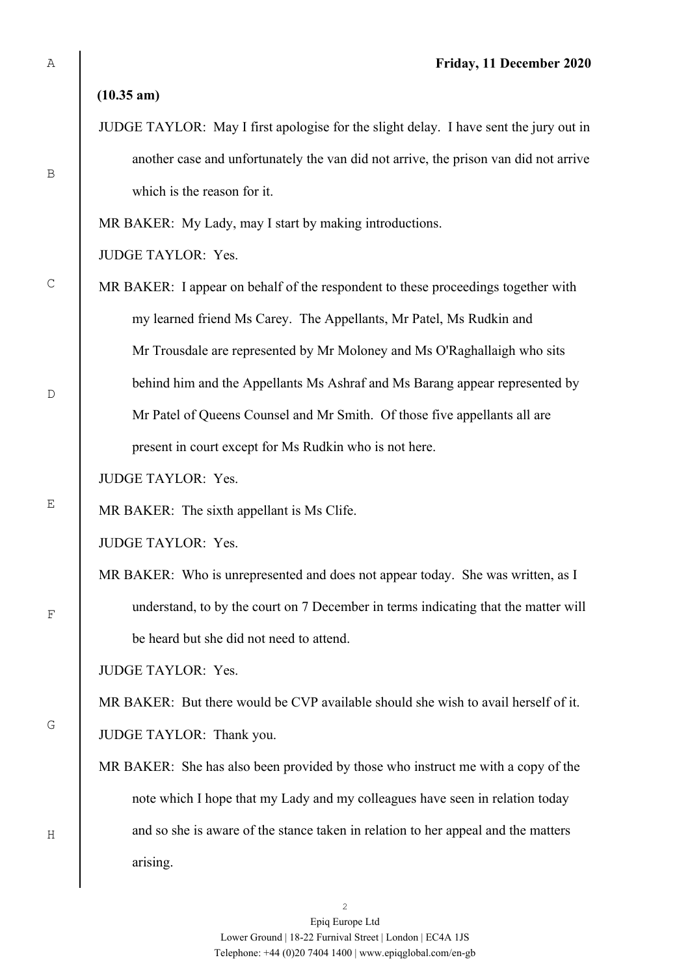**(10.35 am)**

JUDGE TAYLOR: May I first apologise for the slight delay. I have sent the jury out in another case and unfortunately the van did not arrive, the prison van did not arrive which is the reason for it.

MR BAKER: My Lady, may I start by making introductions.

JUDGE TAYLOR: Yes.

- MR BAKER: I appear on behalf of the respondent to these proceedings together with my learned friend Ms Carey. The Appellants, Mr Patel, Ms Rudkin and Mr Trousdale are represented by Mr Moloney and Ms O'Raghallaigh who sits behind him and the Appellants Ms Ashraf and Ms Barang appear represented by Mr Patel of Queens Counsel and Mr Smith. Of those five appellants all are present in court except for Ms Rudkin who is not here.
- JUDGE TAYLOR: Yes.

MR BAKER: The sixth appellant is Ms Clife.

JUDGE TAYLOR: Yes.

MR BAKER: Who is unrepresented and does not appear today. She was written, as I understand, to by the court on 7 December in terms indicating that the matter will be heard but she did not need to attend.

JUDGE TAYLOR: Yes.

MR BAKER: But there would be CVP available should she wish to avail herself of it.

JUDGE TAYLOR: Thank you.

MR BAKER: She has also been provided by those who instruct me with a copy of the note which I hope that my Lady and my colleagues have seen in relation today and so she is aware of the stance taken in relation to her appeal and the matters arising.

B

C

 $D$ 

E

G

F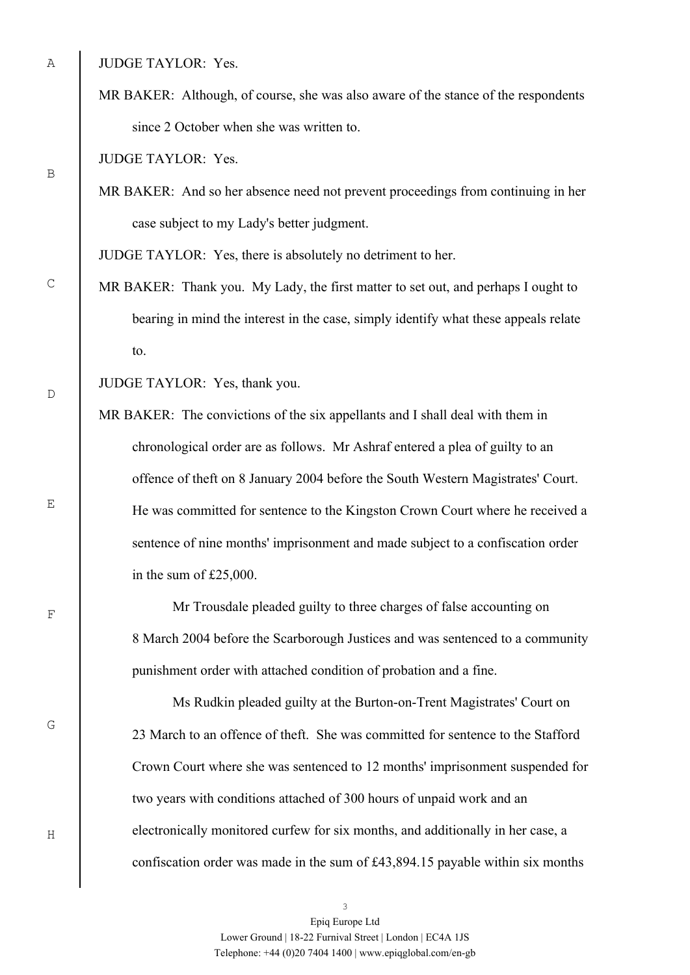JUDGE TAYLOR: Yes.

MR BAKER: Although, of course, she was also aware of the stance of the respondents since 2 October when she was written to.

JUDGE TAYLOR: Yes.

MR BAKER: And so her absence need not prevent proceedings from continuing in her case subject to my Lady's better judgment.

JUDGE TAYLOR: Yes, there is absolutely no detriment to her.

MR BAKER: Thank you. My Lady, the first matter to set out, and perhaps I ought to bearing in mind the interest in the case, simply identify what these appeals relate to.

JUDGE TAYLOR: Yes, thank you.

MR BAKER: The convictions of the six appellants and I shall deal with them in chronological order are as follows. Mr Ashraf entered a plea of guilty to an offence of theft on 8 January 2004 before the South Western Magistrates' Court. He was committed for sentence to the Kingston Crown Court where he received a sentence of nine months' imprisonment and made subject to a confiscation order in the sum of £25,000.

Mr Trousdale pleaded guilty to three charges of false accounting on 8 March 2004 before the Scarborough Justices and was sentenced to a community punishment order with attached condition of probation and a fine.

Ms Rudkin pleaded guilty at the Burton-on-Trent Magistrates' Court on 23 March to an offence of theft. She was committed for sentence to the Stafford Crown Court where she was sentenced to 12 months' imprisonment suspended for two years with conditions attached of 300 hours of unpaid work and an electronically monitored curfew for six months, and additionally in her case, a confiscation order was made in the sum of £43,894.15 payable within six months

B

C

 $D$ 

E

F

G

Epiq Europe Ltd Lower Ground | 18-22 Furnival Street | London | EC4A 1JS Telephone: +44 (0)20 7404 1400 | www.epiqglobal.com/en-gb

3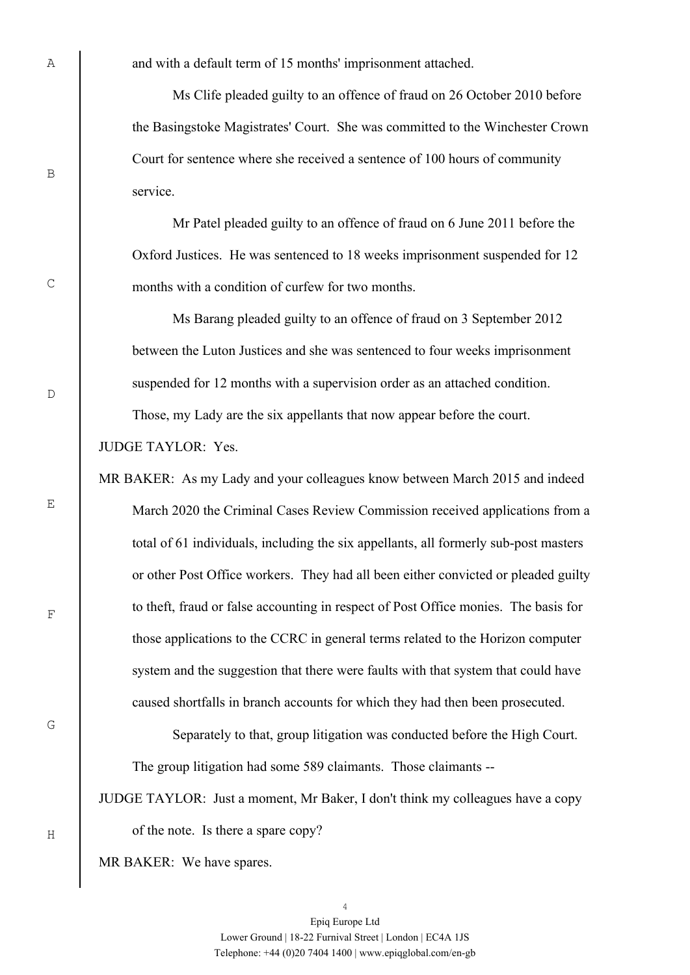and with a default term of 15 months' imprisonment attached.

Ms Clife pleaded guilty to an offence of fraud on 26 October 2010 before the Basingstoke Magistrates' Court. She was committed to the Winchester Crown Court for sentence where she received a sentence of 100 hours of community service.

Mr Patel pleaded guilty to an offence of fraud on 6 June 2011 before the Oxford Justices. He was sentenced to 18 weeks imprisonment suspended for 12 months with a condition of curfew for two months.

Ms Barang pleaded guilty to an offence of fraud on 3 September 2012 between the Luton Justices and she was sentenced to four weeks imprisonment suspended for 12 months with a supervision order as an attached condition.

Those, my Lady are the six appellants that now appear before the court.

JUDGE TAYLOR: Yes.

MR BAKER: As my Lady and your colleagues know between March 2015 and indeed March 2020 the Criminal Cases Review Commission received applications from a total of 61 individuals, including the six appellants, all formerly sub-post masters or other Post Office workers. They had all been either convicted or pleaded guilty to theft, fraud or false accounting in respect of Post Office monies. The basis for those applications to the CCRC in general terms related to the Horizon computer system and the suggestion that there were faults with that system that could have caused shortfalls in branch accounts for which they had then been prosecuted.

Separately to that, group litigation was conducted before the High Court. The group litigation had some 589 claimants. Those claimants --

JUDGE TAYLOR: Just a moment, Mr Baker, I don't think my colleagues have a copy of the note. Is there a spare copy?

MR BAKER: We have spares.

A

B

 $D$ 

C



G

F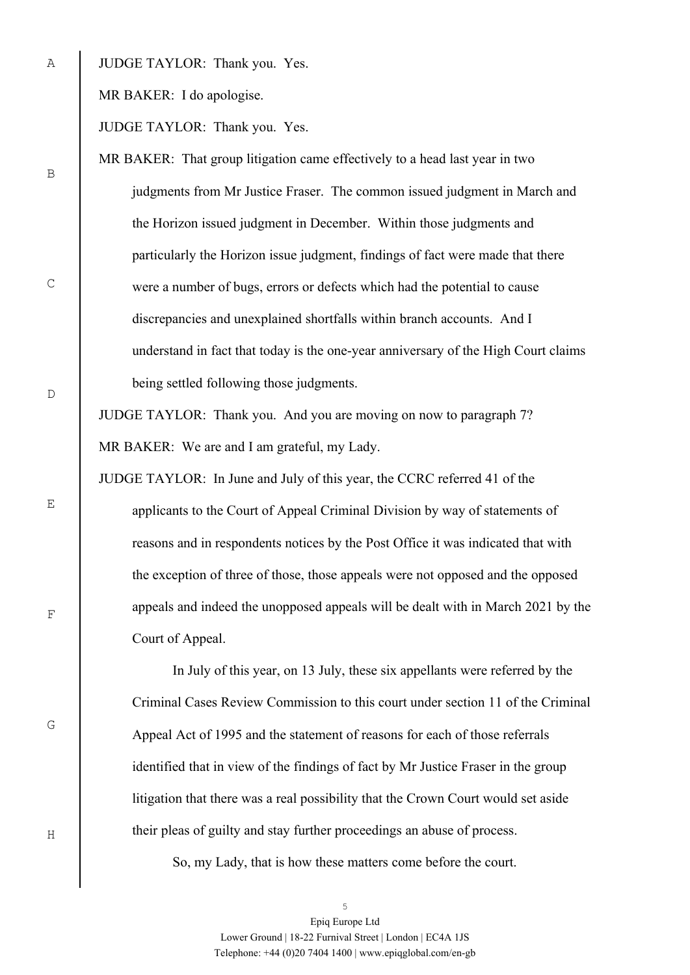JUDGE TAYLOR: Thank you. Yes.

MR BAKER: I do apologise.

JUDGE TAYLOR: Thank you. Yes.

MR BAKER: That group litigation came effectively to a head last year in two judgments from Mr Justice Fraser. The common issued judgment in March and the Horizon issued judgment in December. Within those judgments and particularly the Horizon issue judgment, findings of fact were made that there were a number of bugs, errors or defects which had the potential to cause discrepancies and unexplained shortfalls within branch accounts. And I understand in fact that today is the one-year anniversary of the High Court claims being settled following those judgments.

JUDGE TAYLOR: Thank you. And you are moving on now to paragraph 7? MR BAKER: We are and I am grateful, my Lady.

JUDGE TAYLOR: In June and July of this year, the CCRC referred 41 of the applicants to the Court of Appeal Criminal Division by way of statements of reasons and in respondents notices by the Post Office it was indicated that with the exception of three of those, those appeals were not opposed and the opposed appeals and indeed the unopposed appeals will be dealt with in March 2021 by the Court of Appeal.

In July of this year, on 13 July, these six appellants were referred by the Criminal Cases Review Commission to this court under section 11 of the Criminal Appeal Act of 1995 and the statement of reasons for each of those referrals identified that in view of the findings of fact by Mr Justice Fraser in the group litigation that there was a real possibility that the Crown Court would set aside their pleas of guilty and stay further proceedings an abuse of process.

So, my Lady, that is how these matters come before the court.

5 Epiq Europe Ltd Lower Ground | 18-22 Furnival Street | London | EC4A 1JS Telephone: +44 (0)20 7404 1400 | www.epiqglobal.com/en-gb

B

A

 $\overline{D}$ 

C

E

G

F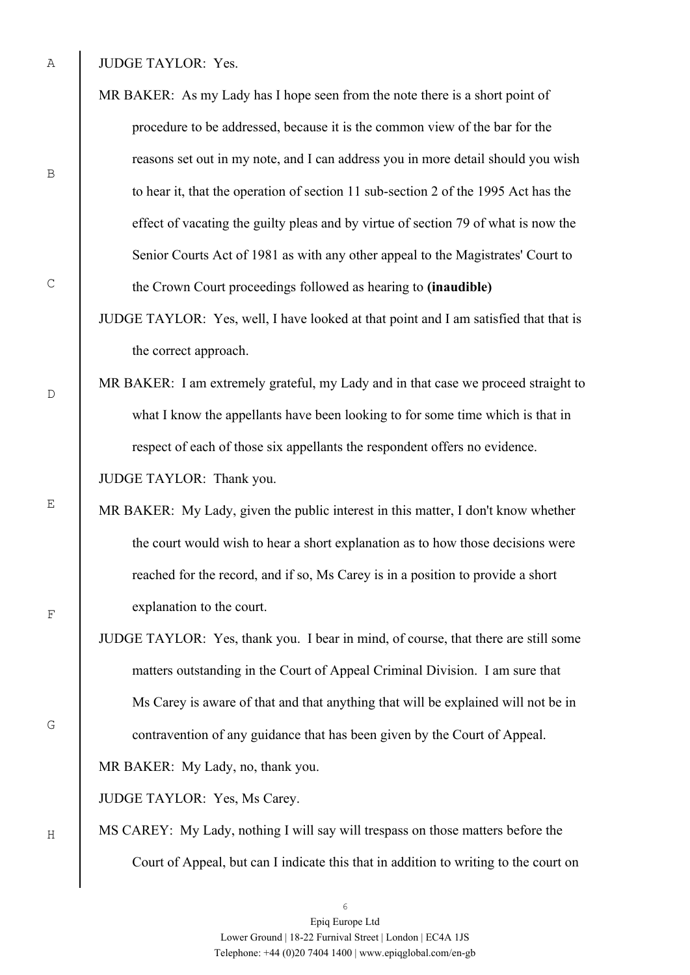JUDGE TAYLOR: Yes.

- MR BAKER: As my Lady has I hope seen from the note there is a short point of procedure to be addressed, because it is the common view of the bar for the reasons set out in my note, and I can address you in more detail should you wish to hear it, that the operation of section 11 sub-section 2 of the 1995 Act has the effect of vacating the guilty pleas and by virtue of section 79 of what is now the Senior Courts Act of 1981 as with any other appeal to the Magistrates' Court to the Crown Court proceedings followed as hearing to **(inaudible)**
- JUDGE TAYLOR: Yes, well, I have looked at that point and I am satisfied that that is the correct approach.
- MR BAKER: I am extremely grateful, my Lady and in that case we proceed straight to what I know the appellants have been looking to for some time which is that in respect of each of those six appellants the respondent offers no evidence.

JUDGE TAYLOR: Thank you.

- MR BAKER: My Lady, given the public interest in this matter, I don't know whether the court would wish to hear a short explanation as to how those decisions were reached for the record, and if so, Ms Carey is in a position to provide a short explanation to the court.
- JUDGE TAYLOR: Yes, thank you. I bear in mind, of course, that there are still some matters outstanding in the Court of Appeal Criminal Division. I am sure that Ms Carey is aware of that and that anything that will be explained will not be in contravention of any guidance that has been given by the Court of Appeal.

MR BAKER: My Lady, no, thank you.

JUDGE TAYLOR: Yes, Ms Carey.

MS CAREY: My Lady, nothing I will say will trespass on those matters before the Court of Appeal, but can I indicate this that in addition to writing to the court on

A

B

C

 $D$ 

E

F

G

Epiq Europe Ltd Lower Ground | 18-22 Furnival Street | London | EC4A 1JS Telephone: +44 (0)20 7404 1400 | www.epiqglobal.com/en-gb

6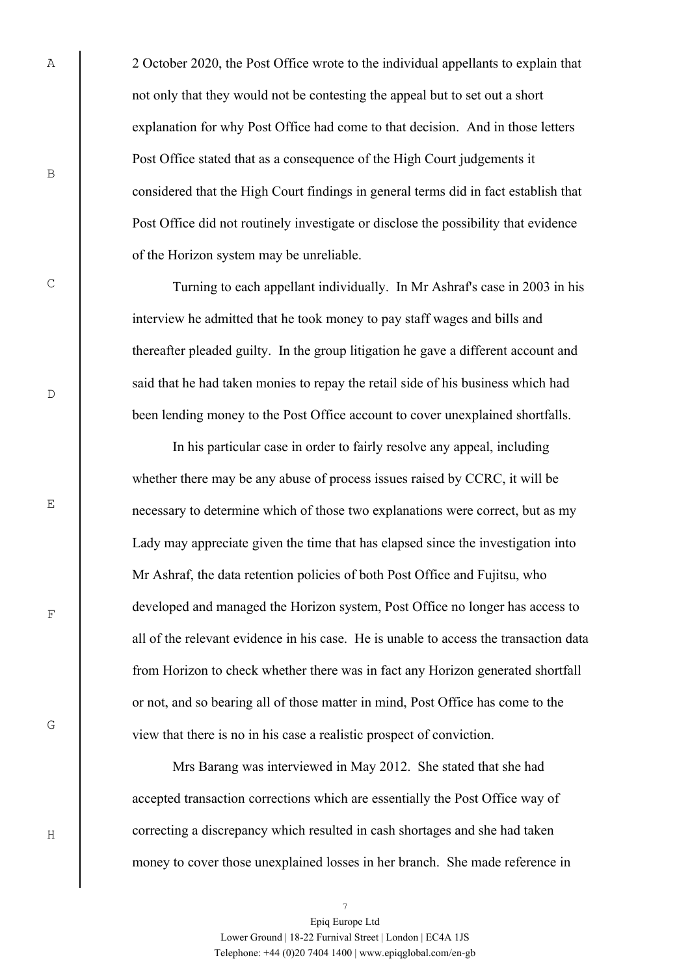2 October 2020, the Post Office wrote to the individual appellants to explain that not only that they would not be contesting the appeal but to set out a short explanation for why Post Office had come to that decision. And in those letters Post Office stated that as a consequence of the High Court judgements it considered that the High Court findings in general terms did in fact establish that Post Office did not routinely investigate or disclose the possibility that evidence of the Horizon system may be unreliable.

Turning to each appellant individually. In Mr Ashraf's case in 2003 in his interview he admitted that he took money to pay staff wages and bills and thereafter pleaded guilty. In the group litigation he gave a different account and said that he had taken monies to repay the retail side of his business which had been lending money to the Post Office account to cover unexplained shortfalls.

In his particular case in order to fairly resolve any appeal, including whether there may be any abuse of process issues raised by CCRC, it will be necessary to determine which of those two explanations were correct, but as my Lady may appreciate given the time that has elapsed since the investigation into Mr Ashraf, the data retention policies of both Post Office and Fujitsu, who developed and managed the Horizon system, Post Office no longer has access to all of the relevant evidence in his case. He is unable to access the transaction data from Horizon to check whether there was in fact any Horizon generated shortfall or not, and so bearing all of those matter in mind, Post Office has come to the view that there is no in his case a realistic prospect of conviction.

Mrs Barang was interviewed in May 2012. She stated that she had accepted transaction corrections which are essentially the Post Office way of correcting a discrepancy which resulted in cash shortages and she had taken money to cover those unexplained losses in her branch. She made reference in

7

 $\overline{D}$ 

C

A

B

E

G

H

F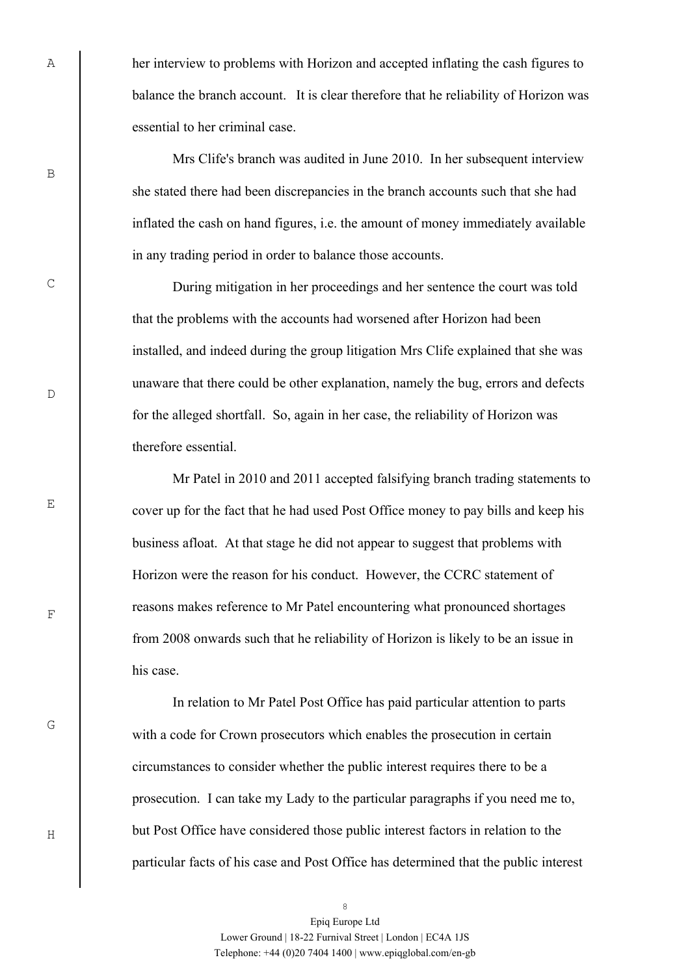her interview to problems with Horizon and accepted inflating the cash figures to balance the branch account. It is clear therefore that he reliability of Horizon was essential to her criminal case.

Mrs Clife's branch was audited in June 2010. In her subsequent interview she stated there had been discrepancies in the branch accounts such that she had inflated the cash on hand figures, i.e. the amount of money immediately available in any trading period in order to balance those accounts.

During mitigation in her proceedings and her sentence the court was told that the problems with the accounts had worsened after Horizon had been installed, and indeed during the group litigation Mrs Clife explained that she was unaware that there could be other explanation, namely the bug, errors and defects for the alleged shortfall. So, again in her case, the reliability of Horizon was therefore essential.

Mr Patel in 2010 and 2011 accepted falsifying branch trading statements to cover up for the fact that he had used Post Office money to pay bills and keep his business afloat. At that stage he did not appear to suggest that problems with Horizon were the reason for his conduct. However, the CCRC statement of reasons makes reference to Mr Patel encountering what pronounced shortages from 2008 onwards such that he reliability of Horizon is likely to be an issue in his case.

In relation to Mr Patel Post Office has paid particular attention to parts with a code for Crown prosecutors which enables the prosecution in certain circumstances to consider whether the public interest requires there to be a prosecution. I can take my Lady to the particular paragraphs if you need me to, but Post Office have considered those public interest factors in relation to the particular facts of his case and Post Office has determined that the public interest

B

A

C

 $\overline{D}$ 

E

G

F

8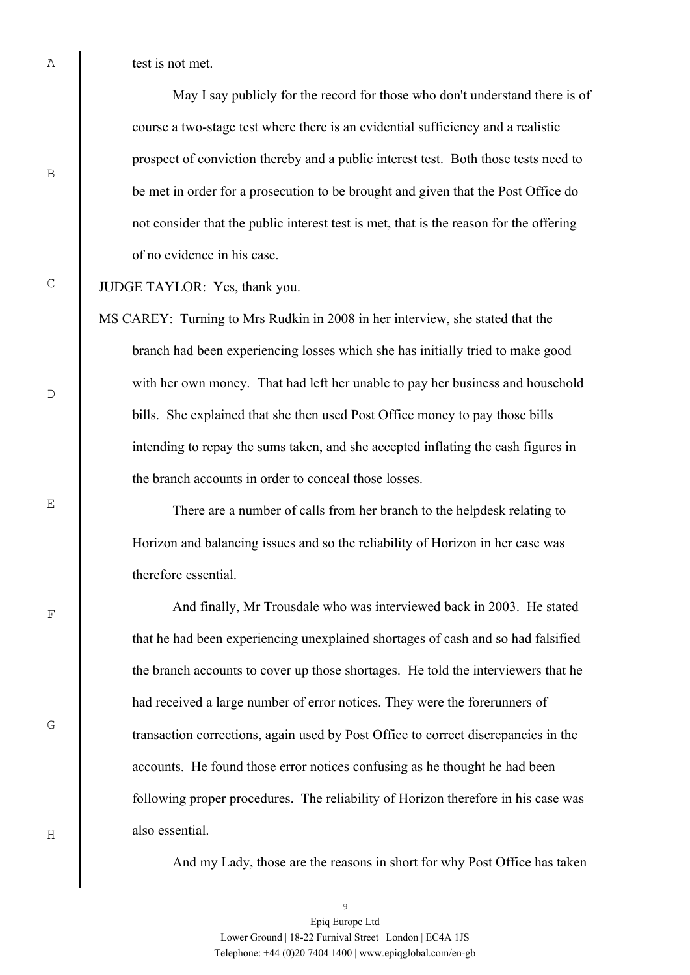test is not met.

May I say publicly for the record for those who don't understand there is of course a two-stage test where there is an evidential sufficiency and a realistic prospect of conviction thereby and a public interest test. Both those tests need to be met in order for a prosecution to be brought and given that the Post Office do not consider that the public interest test is met, that is the reason for the offering of no evidence in his case.

## JUDGE TAYLOR: Yes, thank you.

MS CAREY: Turning to Mrs Rudkin in 2008 in her interview, she stated that the branch had been experiencing losses which she has initially tried to make good with her own money. That had left her unable to pay her business and household bills. She explained that she then used Post Office money to pay those bills intending to repay the sums taken, and she accepted inflating the cash figures in the branch accounts in order to conceal those losses.

There are a number of calls from her branch to the helpdesk relating to Horizon and balancing issues and so the reliability of Horizon in her case was therefore essential.

And finally, Mr Trousdale who was interviewed back in 2003. He stated that he had been experiencing unexplained shortages of cash and so had falsified the branch accounts to cover up those shortages. He told the interviewers that he had received a large number of error notices. They were the forerunners of transaction corrections, again used by Post Office to correct discrepancies in the accounts. He found those error notices confusing as he thought he had been following proper procedures. The reliability of Horizon therefore in his case was also essential.

And my Lady, those are the reasons in short for why Post Office has taken

B

C

 $\overline{D}$ 

E

F

G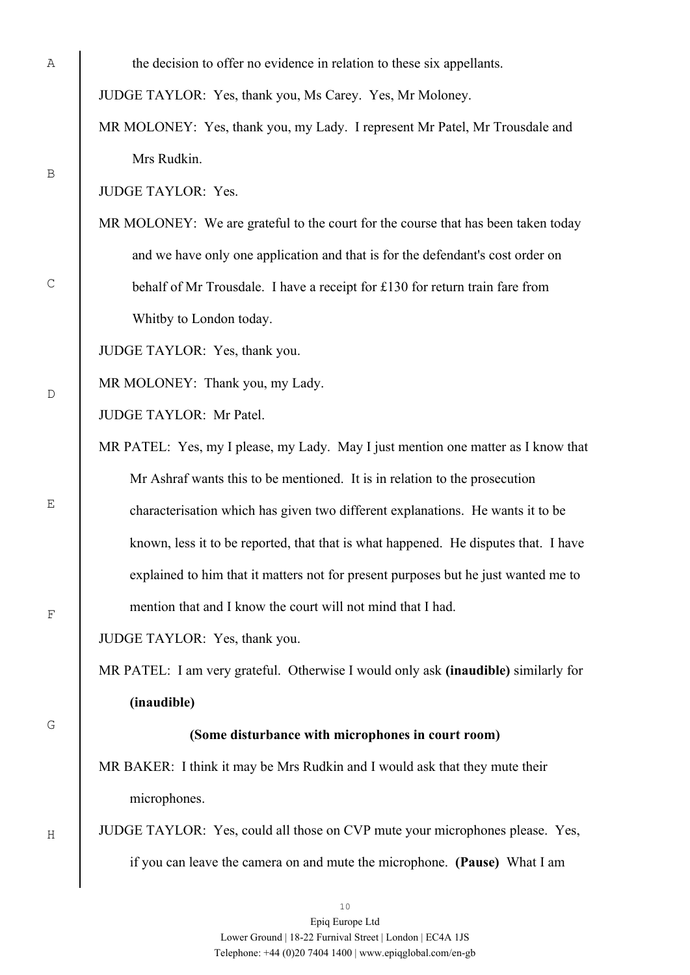the decision to offer no evidence in relation to these six appellants.

JUDGE TAYLOR: Yes, thank you, Ms Carey. Yes, Mr Moloney.

MR MOLONEY: Yes, thank you, my Lady. I represent Mr Patel, Mr Trousdale and Mrs Rudkin.

JUDGE TAYLOR: Yes.

MR MOLONEY: We are grateful to the court for the course that has been taken today and we have only one application and that is for the defendant's cost order on behalf of Mr Trousdale. I have a receipt for £130 for return train fare from Whitby to London today.

JUDGE TAYLOR: Yes, thank you.

MR MOLONEY: Thank you, my Lady.

JUDGE TAYLOR: Mr Patel.

MR PATEL: Yes, my I please, my Lady. May I just mention one matter as I know that Mr Ashraf wants this to be mentioned. It is in relation to the prosecution characterisation which has given two different explanations. He wants it to be known, less it to be reported, that that is what happened. He disputes that. I have explained to him that it matters not for present purposes but he just wanted me to mention that and I know the court will not mind that I had.

JUDGE TAYLOR: Yes, thank you.

MR PATEL: I am very grateful. Otherwise I would only ask **(inaudible)** similarly for **(inaudible)** 

G

H

## **(Some disturbance with microphones in court room)**

MR BAKER: I think it may be Mrs Rudkin and I would ask that they mute their microphones.

JUDGE TAYLOR: Yes, could all those on CVP mute your microphones please. Yes, if you can leave the camera on and mute the microphone. **(Pause)** What I am

B

C

 $\overline{D}$ 

E

F

Epiq Europe Ltd Lower Ground | 18-22 Furnival Street | London | EC4A 1JS Telephone: +44 (0)20 7404 1400 | www.epiqglobal.com/en-gb

10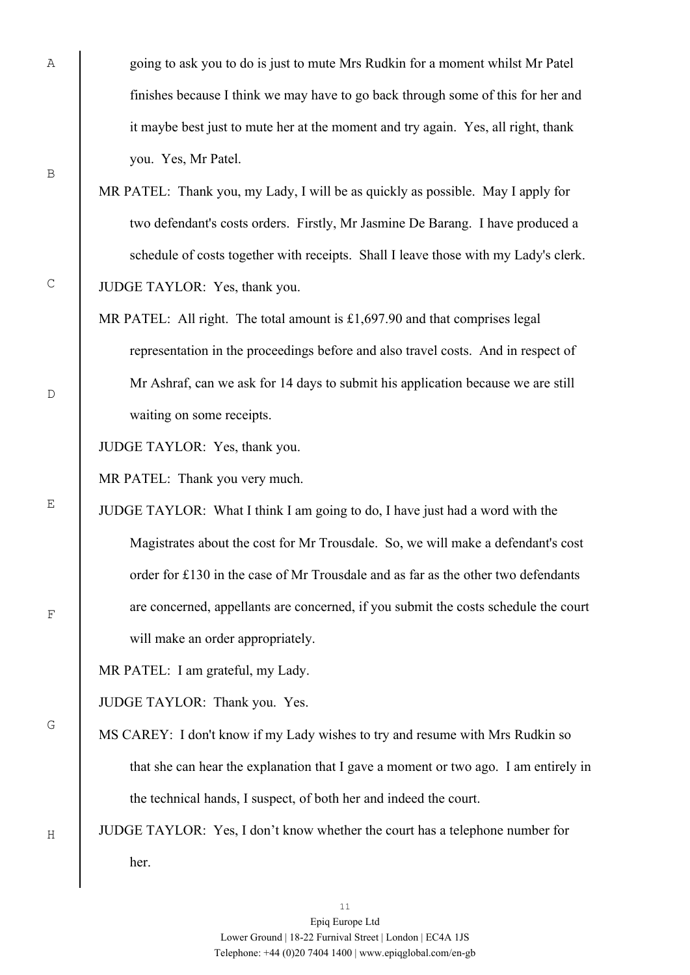going to ask you to do is just to mute Mrs Rudkin for a moment whilst Mr Patel finishes because I think we may have to go back through some of this for her and it maybe best just to mute her at the moment and try again. Yes, all right, thank you. Yes, Mr Patel.

- MR PATEL: Thank you, my Lady, I will be as quickly as possible. May I apply for two defendant's costs orders. Firstly, Mr Jasmine De Barang. I have produced a schedule of costs together with receipts. Shall I leave those with my Lady's clerk. JUDGE TAYLOR: Yes, thank you.
- MR PATEL: All right. The total amount is £1,697.90 and that comprises legal representation in the proceedings before and also travel costs. And in respect of Mr Ashraf, can we ask for 14 days to submit his application because we are still waiting on some receipts.

JUDGE TAYLOR: Yes, thank you.

MR PATEL: Thank you very much.

JUDGE TAYLOR: What I think I am going to do, I have just had a word with the Magistrates about the cost for Mr Trousdale. So, we will make a defendant's cost order for £130 in the case of Mr Trousdale and as far as the other two defendants are concerned, appellants are concerned, if you submit the costs schedule the court will make an order appropriately.

MR PATEL: I am grateful, my Lady.

JUDGE TAYLOR: Thank you. Yes.

- MS CAREY: I don't know if my Lady wishes to try and resume with Mrs Rudkin so that she can hear the explanation that I gave a moment or two ago. I am entirely in the technical hands, I suspect, of both her and indeed the court.
- JUDGE TAYLOR: Yes, I don't know whether the court has a telephone number for her.

B

A

 $\overline{D}$ 

E

C



G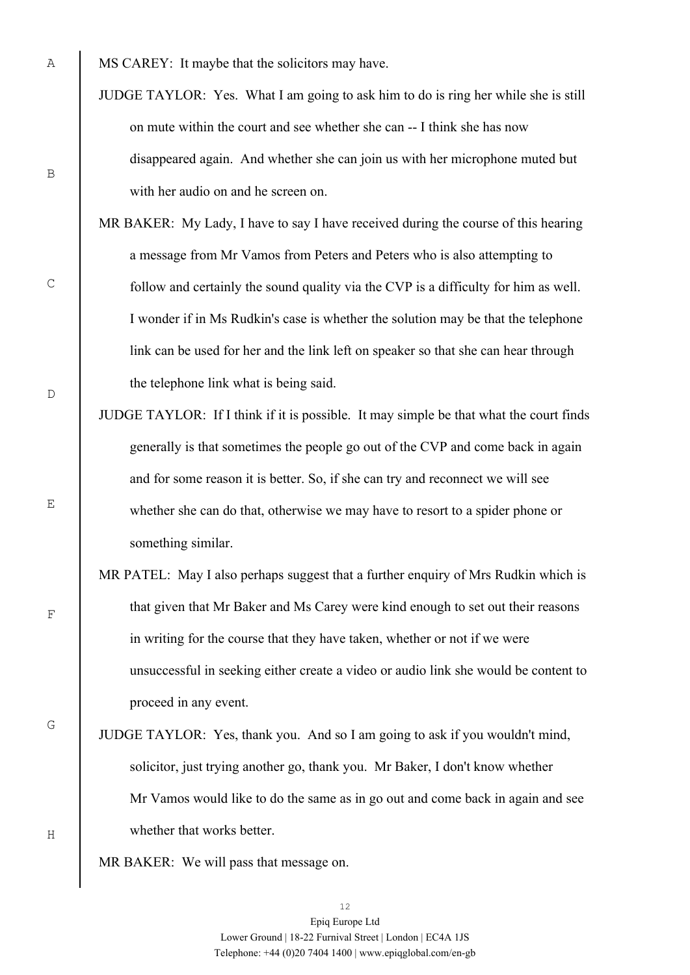- JUDGE TAYLOR: Yes. What I am going to ask him to do is ring her while she is still on mute within the court and see whether she can -- I think she has now disappeared again. And whether she can join us with her microphone muted but with her audio on and he screen on.
- MR BAKER: My Lady, I have to say I have received during the course of this hearing a message from Mr Vamos from Peters and Peters who is also attempting to follow and certainly the sound quality via the CVP is a difficulty for him as well. I wonder if in Ms Rudkin's case is whether the solution may be that the telephone link can be used for her and the link left on speaker so that she can hear through the telephone link what is being said.
- JUDGE TAYLOR: If I think if it is possible. It may simple be that what the court finds generally is that sometimes the people go out of the CVP and come back in again and for some reason it is better. So, if she can try and reconnect we will see whether she can do that, otherwise we may have to resort to a spider phone or something similar.
- MR PATEL: May I also perhaps suggest that a further enquiry of Mrs Rudkin which is that given that Mr Baker and Ms Carey were kind enough to set out their reasons in writing for the course that they have taken, whether or not if we were unsuccessful in seeking either create a video or audio link she would be content to proceed in any event.
- JUDGE TAYLOR: Yes, thank you. And so I am going to ask if you wouldn't mind, solicitor, just trying another go, thank you. Mr Baker, I don't know whether Mr Vamos would like to do the same as in go out and come back in again and see whether that works better.
- MR BAKER: We will pass that message on.

B

C

E

 $\overline{D}$ 

G

F

MS CAREY: It maybe that the solicitors may have.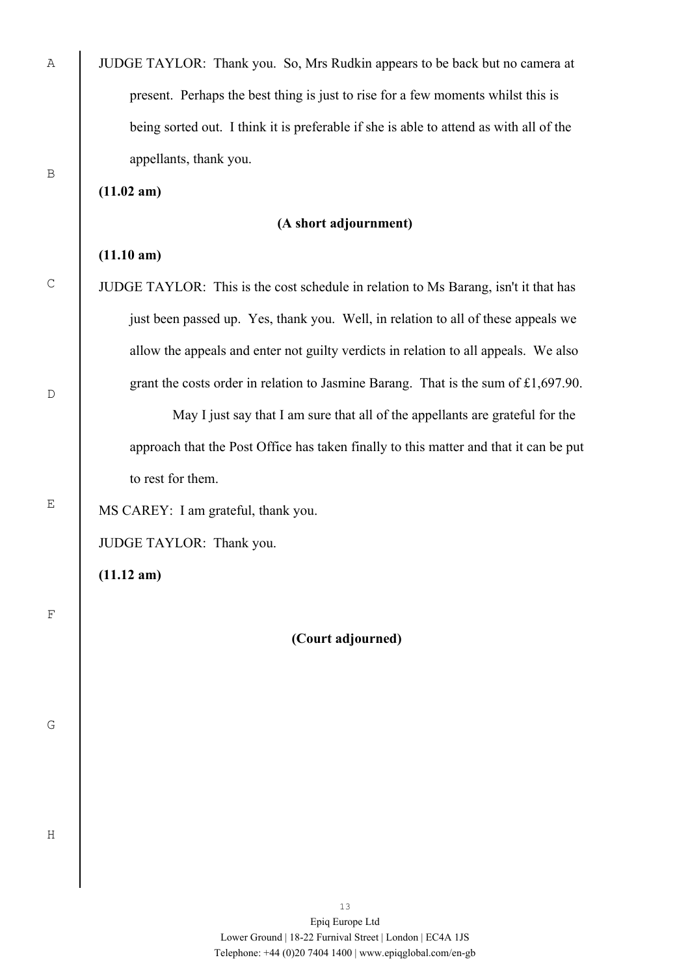| present. Perhaps the best thing is just to rise for a few moments whilst this is<br>being sorted out. I think it is preferable if she is able to attend as with all of the<br>appellants, thank you.<br>$(11.02 \text{ am})$<br>(A short adjournment)<br>(11.10 am)<br>JUDGE TAYLOR: This is the cost schedule in relation to Ms Barang, isn't it that has<br>just been passed up. Yes, thank you. Well, in relation to all of these appeals we<br>allow the appeals and enter not guilty verdicts in relation to all appeals. We also<br>grant the costs order in relation to Jasmine Barang. That is the sum of £1,697.90.<br>May I just say that I am sure that all of the appellants are grateful for the<br>approach that the Post Office has taken finally to this matter and that it can be put<br>to rest for them.<br>MS CAREY: I am grateful, thank you.<br>JUDGE TAYLOR: Thank you.<br>$(11.12 \text{ am})$<br>(Court adjourned) |
|---------------------------------------------------------------------------------------------------------------------------------------------------------------------------------------------------------------------------------------------------------------------------------------------------------------------------------------------------------------------------------------------------------------------------------------------------------------------------------------------------------------------------------------------------------------------------------------------------------------------------------------------------------------------------------------------------------------------------------------------------------------------------------------------------------------------------------------------------------------------------------------------------------------------------------------------|
|                                                                                                                                                                                                                                                                                                                                                                                                                                                                                                                                                                                                                                                                                                                                                                                                                                                                                                                                             |
|                                                                                                                                                                                                                                                                                                                                                                                                                                                                                                                                                                                                                                                                                                                                                                                                                                                                                                                                             |
|                                                                                                                                                                                                                                                                                                                                                                                                                                                                                                                                                                                                                                                                                                                                                                                                                                                                                                                                             |
|                                                                                                                                                                                                                                                                                                                                                                                                                                                                                                                                                                                                                                                                                                                                                                                                                                                                                                                                             |
|                                                                                                                                                                                                                                                                                                                                                                                                                                                                                                                                                                                                                                                                                                                                                                                                                                                                                                                                             |
|                                                                                                                                                                                                                                                                                                                                                                                                                                                                                                                                                                                                                                                                                                                                                                                                                                                                                                                                             |
|                                                                                                                                                                                                                                                                                                                                                                                                                                                                                                                                                                                                                                                                                                                                                                                                                                                                                                                                             |
|                                                                                                                                                                                                                                                                                                                                                                                                                                                                                                                                                                                                                                                                                                                                                                                                                                                                                                                                             |
|                                                                                                                                                                                                                                                                                                                                                                                                                                                                                                                                                                                                                                                                                                                                                                                                                                                                                                                                             |
|                                                                                                                                                                                                                                                                                                                                                                                                                                                                                                                                                                                                                                                                                                                                                                                                                                                                                                                                             |
|                                                                                                                                                                                                                                                                                                                                                                                                                                                                                                                                                                                                                                                                                                                                                                                                                                                                                                                                             |
|                                                                                                                                                                                                                                                                                                                                                                                                                                                                                                                                                                                                                                                                                                                                                                                                                                                                                                                                             |
|                                                                                                                                                                                                                                                                                                                                                                                                                                                                                                                                                                                                                                                                                                                                                                                                                                                                                                                                             |
|                                                                                                                                                                                                                                                                                                                                                                                                                                                                                                                                                                                                                                                                                                                                                                                                                                                                                                                                             |
|                                                                                                                                                                                                                                                                                                                                                                                                                                                                                                                                                                                                                                                                                                                                                                                                                                                                                                                                             |
|                                                                                                                                                                                                                                                                                                                                                                                                                                                                                                                                                                                                                                                                                                                                                                                                                                                                                                                                             |
|                                                                                                                                                                                                                                                                                                                                                                                                                                                                                                                                                                                                                                                                                                                                                                                                                                                                                                                                             |
|                                                                                                                                                                                                                                                                                                                                                                                                                                                                                                                                                                                                                                                                                                                                                                                                                                                                                                                                             |
|                                                                                                                                                                                                                                                                                                                                                                                                                                                                                                                                                                                                                                                                                                                                                                                                                                                                                                                                             |
|                                                                                                                                                                                                                                                                                                                                                                                                                                                                                                                                                                                                                                                                                                                                                                                                                                                                                                                                             |
|                                                                                                                                                                                                                                                                                                                                                                                                                                                                                                                                                                                                                                                                                                                                                                                                                                                                                                                                             |
|                                                                                                                                                                                                                                                                                                                                                                                                                                                                                                                                                                                                                                                                                                                                                                                                                                                                                                                                             |

D

E

A

B

C

F

G